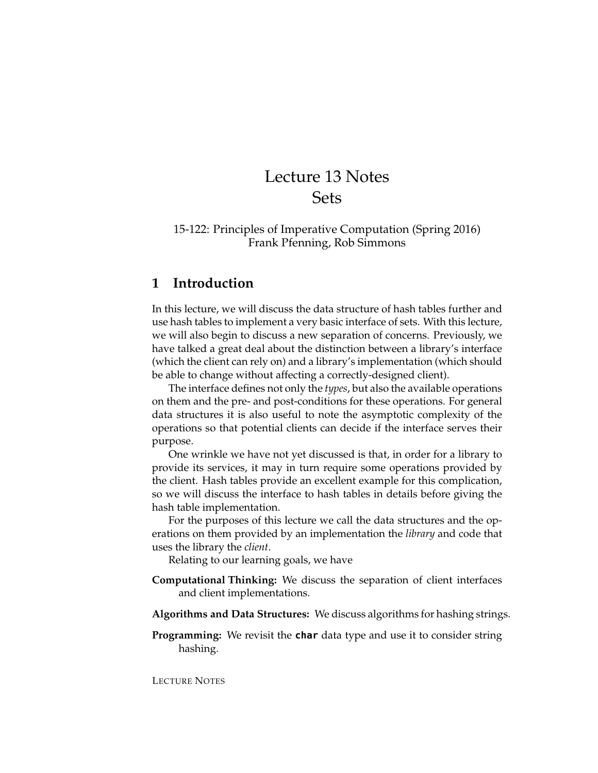# Lecture 13 Notes Sets

#### 15-122: Principles of Imperative Computation (Spring 2016) Frank Pfenning, Rob Simmons

## **1 Introduction**

In this lecture, we will discuss the data structure of hash tables further and use hash tables to implement a very basic interface of sets. With this lecture, we will also begin to discuss a new separation of concerns. Previously, we have talked a great deal about the distinction between a library's interface (which the client can rely on) and a library's implementation (which should be able to change without affecting a correctly-designed client).

The interface defines not only the *types*, but also the available operations on them and the pre- and post-conditions for these operations. For general data structures it is also useful to note the asymptotic complexity of the operations so that potential clients can decide if the interface serves their purpose.

One wrinkle we have not yet discussed is that, in order for a library to provide its services, it may in turn require some operations provided by the client. Hash tables provide an excellent example for this complication, so we will discuss the interface to hash tables in details before giving the hash table implementation.

For the purposes of this lecture we call the data structures and the operations on them provided by an implementation the *library* and code that uses the library the *client*.

Relating to our learning goals, we have

- **Computational Thinking:** We discuss the separation of client interfaces and client implementations.
- **Algorithms and Data Structures:** We discuss algorithms for hashing strings.
- **Programming:** We revisit the **char** data type and use it to consider string hashing.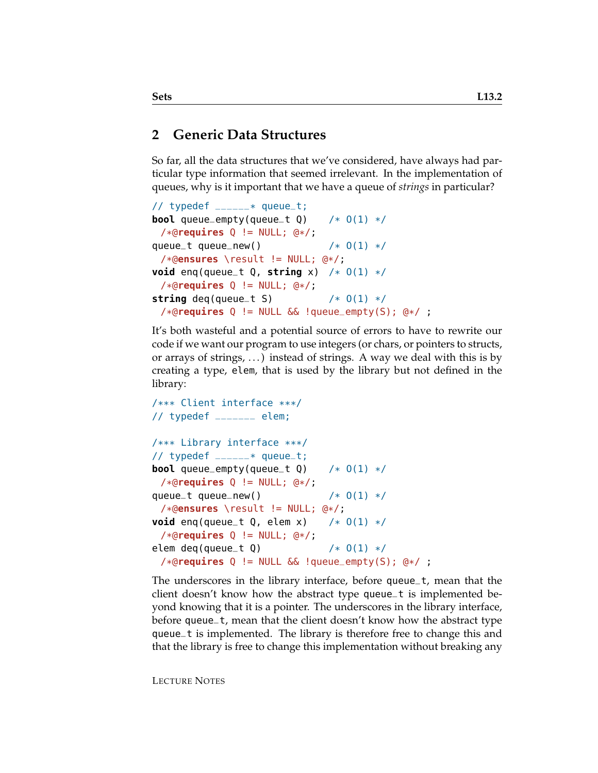#### **2 Generic Data Structures**

So far, all the data structures that we've considered, have always had particular type information that seemed irrelevant. In the implementation of queues, why is it important that we have a queue of *strings* in particular?

```
// typedef ______* queue_t;
bool queue_empty(queue_t Q) /* O(1) */
 /*@requires Q != NULL; @*/;
queue_t queue_new() /* 0(1) *//*@ensures \result != NULL; @*/;
void enq(queue_t Q, string x) /* 0(1) *//*@requires Q != NULL; @*/;
string deq(queue_t S) /* 0(1) *//*@requires Q != NULL && !queue_empty(S); @*/ ;
```
It's both wasteful and a potential source of errors to have to rewrite our code if we want our program to use integers (or chars, or pointers to structs, or arrays of strings, . . . ) instead of strings. A way we deal with this is by creating a type, elem, that is used by the library but not defined in the library:

```
/*** Client interface ***/
// typedef _______ elem;
/*** Library interface ***/
// typedef \text{---}* queue_t;
bool queue_empty(queue_t Q) /* 0(1) */
 /*@requires Q != NULL; @*/;
queue_t queue_new() /* 0(1) *//*@ensures \result != NULL; @*/;
void enq(queue_t Q, elem x) /* 0(1) *//*@requires Q != NULL; @*/;
elem deq(queue_t Q) \left(\frac{1}{2} + \frac{1}{2}\right) /* 0(1) */
 /*@requires Q != NULL && !queue_empty(S); @*/ ;
```
The underscores in the library interface, before queue\_t, mean that the client doesn't know how the abstract type queue\_t is implemented beyond knowing that it is a pointer. The underscores in the library interface, before queue\_t, mean that the client doesn't know how the abstract type queue\_t is implemented. The library is therefore free to change this and that the library is free to change this implementation without breaking any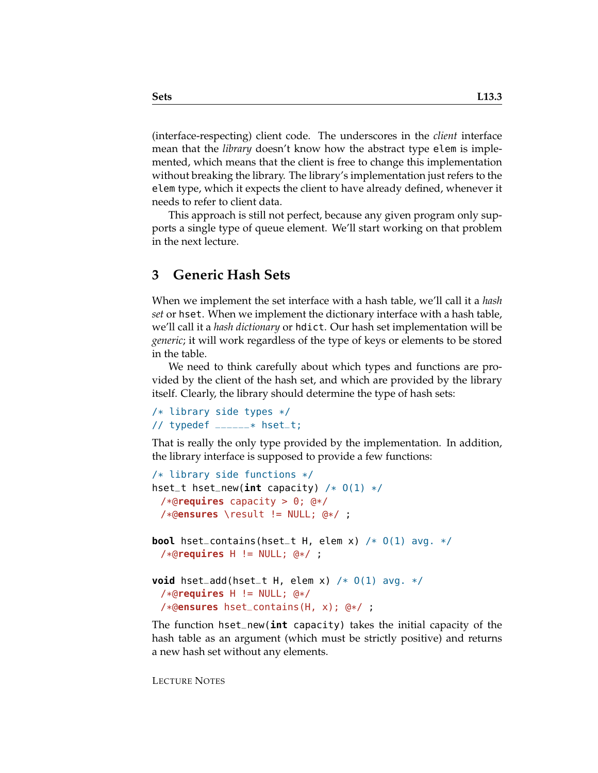(interface-respecting) client code. The underscores in the *client* interface mean that the *library* doesn't know how the abstract type elem is implemented, which means that the client is free to change this implementation without breaking the library. The library's implementation just refers to the elem type, which it expects the client to have already defined, whenever it needs to refer to client data.

This approach is still not perfect, because any given program only supports a single type of queue element. We'll start working on that problem in the next lecture.

## **3 Generic Hash Sets**

When we implement the set interface with a hash table, we'll call it a *hash set* or hset. When we implement the dictionary interface with a hash table, we'll call it a *hash dictionary* or hdict. Our hash set implementation will be *generic*; it will work regardless of the type of keys or elements to be stored in the table.

We need to think carefully about which types and functions are provided by the client of the hash set, and which are provided by the library itself. Clearly, the library should determine the type of hash sets:

```
/* library side types */
// typedef \sqrt{2} hset_t;
```
That is really the only type provided by the implementation. In addition, the library interface is supposed to provide a few functions:

```
/* library side functions */
hset_t hset_new(int capacity) /* O(1) */
 /*@requires capacity > 0; @*/
 /*@ensures \result != NULL; @*/ ;
bool hset_contains(hset_t H, elem x) /* O(1) avg. */
 /*@requires H != NULL; @*/ ;
void hset_add(hset_t H, elem x) /* O(1) avg. */
 /*@requires H != NULL; @*/
 /*@ensures hset_contains(H, x); @*/ ;
```
The function hset\_new(**int** capacity) takes the initial capacity of the hash table as an argument (which must be strictly positive) and returns a new hash set without any elements.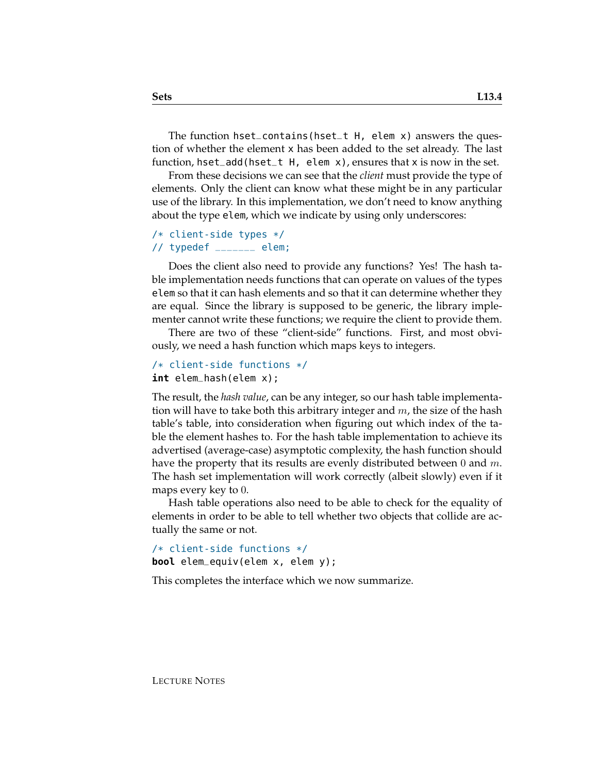tion of whether the element x has been added to the set already. The last function, hset\_add(hset\_t H, elem  $x$ ), ensures that  $x$  is now in the set.

From these decisions we can see that the *client* must provide the type of elements. Only the client can know what these might be in any particular use of the library. In this implementation, we don't need to know anything about the type elem, which we indicate by using only underscores:

```
/* client-side types */
// typedef \sqrt{2} elem;
```
Does the client also need to provide any functions? Yes! The hash table implementation needs functions that can operate on values of the types elem so that it can hash elements and so that it can determine whether they are equal. Since the library is supposed to be generic, the library implementer cannot write these functions; we require the client to provide them.

There are two of these "client-side" functions. First, and most obviously, we need a hash function which maps keys to integers.

```
/* client-side functions */
int elem_hash(elem x);
```
The result, the *hash value*, can be any integer, so our hash table implementation will have to take both this arbitrary integer and  $m$ , the size of the hash table's table, into consideration when figuring out which index of the table the element hashes to. For the hash table implementation to achieve its advertised (average-case) asymptotic complexity, the hash function should have the property that its results are evenly distributed between 0 and  $m$ . The hash set implementation will work correctly (albeit slowly) even if it maps every key to 0.

Hash table operations also need to be able to check for the equality of elements in order to be able to tell whether two objects that collide are actually the same or not.

```
/* client-side functions */
bool elem_equiv(elem x, elem y);
```
This completes the interface which we now summarize.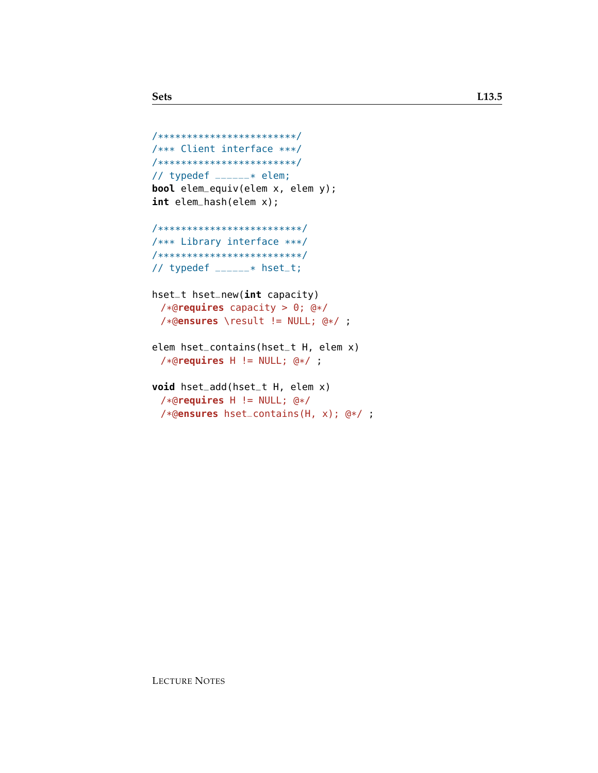```
/************************/
/*** Client interface ***/
/************************/
// typedef ______* elem;
bool elem_equiv(elem x, elem y);
int elem_hash(elem x);
/*************************/
/*** Library interface ***/
/*************************/
// typedef ______* hset_t;
hset_t hset_new(int capacity)
 /*@requires capacity > 0; @*/
 /*@ensures \result != NULL; @*/ ;
elem hset_contains(hset_t H, elem x)
 /*@requires H != NULL; @*/ ;
void hset_add(hset_t H, elem x)
 /*@requires H != NULL; @*/
 /*@ensures hset_contains(H, x); @*/ ;
```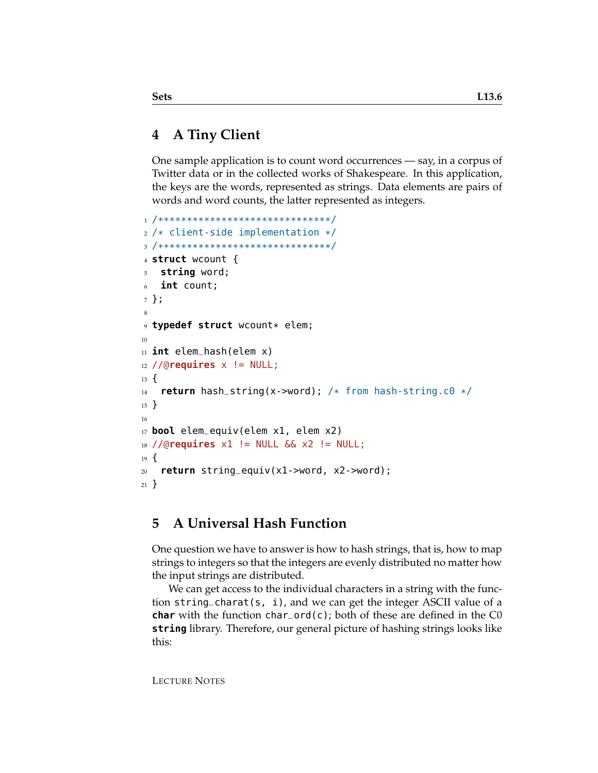# **4 A Tiny Client**

One sample application is to count word occurrences — say, in a corpus of Twitter data or in the collected works of Shakespeare. In this application, the keys are the words, represented as strings. Data elements are pairs of words and word counts, the latter represented as integers.

```
1 /******************************/
2 /* client-side implementation */
3 /******************************/
4 struct wcount {
5 string word;
6 int count;
7 };
8
9 typedef struct wcount* elem;
10
11 int elem_hash(elem x)
12 //@requires x != NULL;
13 \frac{1}{2}14 return hash_string(x->word); /* from hash-string.c0 */
15 }
16
17 bool elem_equiv(elem x1, elem x2)
18 //@requires x1 != NULL && x2 != NULL;
19 \text{ }20 return string_equiv(x1->word, x2->word);
21 }
```
## **5 A Universal Hash Function**

One question we have to answer is how to hash strings, that is, how to map strings to integers so that the integers are evenly distributed no matter how the input strings are distributed.

We can get access to the individual characters in a string with the function string\_charat(s, i), and we can get the integer ASCII value of a **char** with the function char\_ord(c); both of these are defined in the C0 **string** library. Therefore, our general picture of hashing strings looks like this: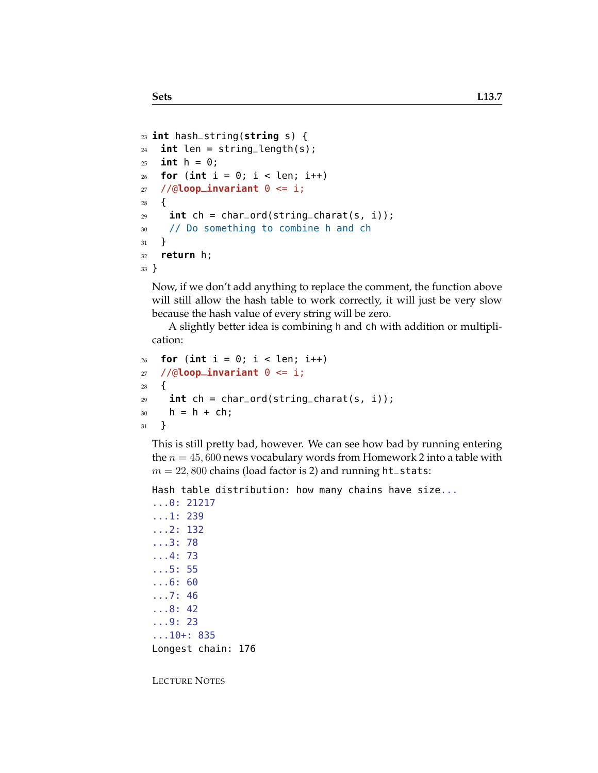```
23 int hash_string(string s) {
24 int len = string_length(s);
25 int h = 0;
26 for (int i = 0; i < len; i++)27 //@loop_invariant \theta \leq i;
28 {
29 int ch = char_ord(string_charat(s, i));
30 // Do something to combine h and ch
31 }
32 return h;
33 }
```
Now, if we don't add anything to replace the comment, the function above will still allow the hash table to work correctly, it will just be very slow because the hash value of every string will be zero.

A slightly better idea is combining h and ch with addition or multiplication:

```
26 for (int i = 0; i < len; i++)
27 //@loop_invariant \theta \leq i;
28 {
_{29} int ch = char_ord(string_charat(s, i));
30 h = h + ch;
31 }
```
This is still pretty bad, however. We can see how bad by running entering the  $n = 45,600$  news vocabulary words from Homework 2 into a table with  $m = 22,800$  chains (load factor is 2) and running ht\_stats:

Hash table distribution: how many chains have size...

```
...0: 21217
...1: 239
...2: 132
...3: 78
...4: 73
...5: 55
...6: 60
...7: 46
...8: 42
...9: 23
...10+: 835
Longest chain: 176
```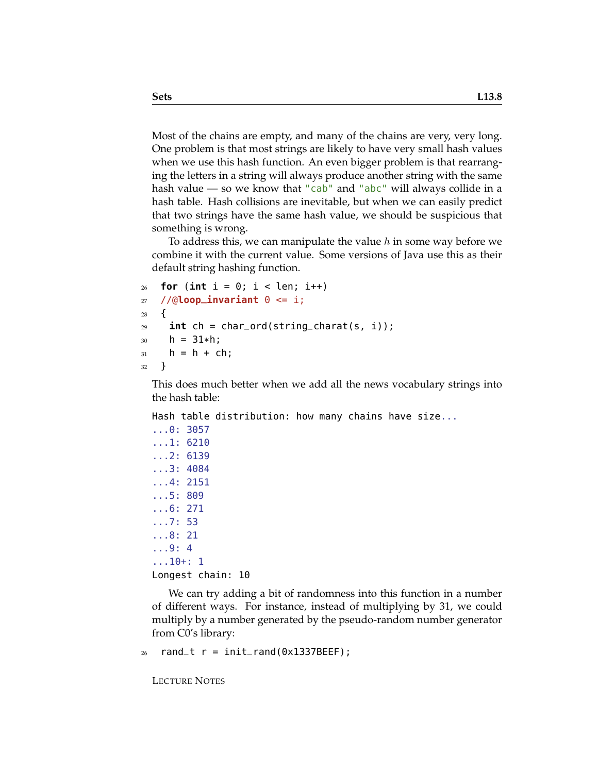Most of the chains are empty, and many of the chains are very, very long. One problem is that most strings are likely to have very small hash values when we use this hash function. An even bigger problem is that rearranging the letters in a string will always produce another string with the same hash value — so we know that "cab" and "abc" will always collide in a hash table. Hash collisions are inevitable, but when we can easily predict that two strings have the same hash value, we should be suspicious that something is wrong.

To address this, we can manipulate the value  $h$  in some way before we combine it with the current value. Some versions of Java use this as their default string hashing function.

```
26 for (int i = 0; i < len; i++)27 //@loop_invariant 0 \le i;
28 {
29 int ch = char_ord(string_charat(s, i));
_{30} h = 31*h;
31 h = h + ch;
32 }
```
This does much better when we add all the news vocabulary strings into the hash table:

Hash table distribution: how many chains have size...

```
...0: 3057
...1: 6210
...2: 6139
...3: 4084
...4: 2151
...5: 809
...6: 271
...7: 53
...8: 21
...9: 4
...10+: 1
Longest chain: 10
```
We can try adding a bit of randomness into this function in a number of different ways. For instance, instead of multiplying by 31, we could multiply by a number generated by the pseudo-random number generator from C0's library:

 $26$  rand\_t r = init\_rand(0x1337BEEF);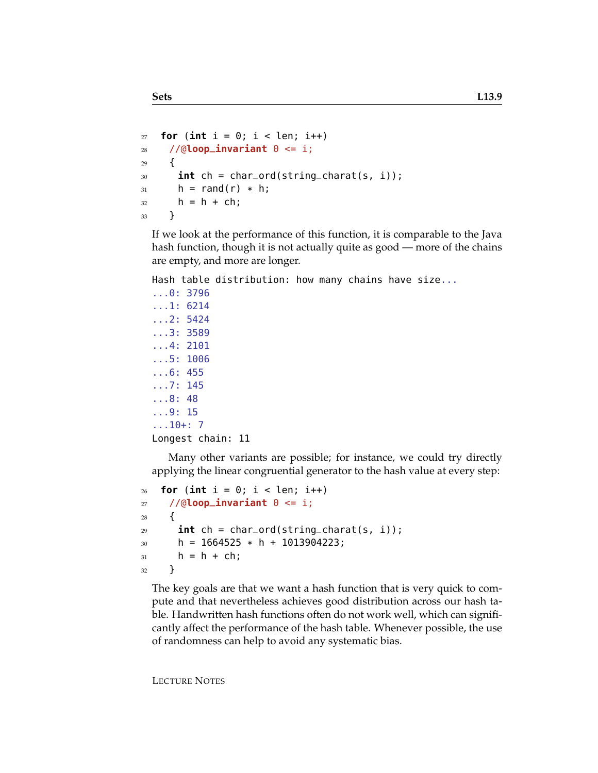```
27 for (int i = 0; i < len; i++)28 //@loop_invariant \theta \leq i;
29 {
30 int ch = char_ord(string_charat(s, i));
31 h = rand(r) * h;
32 h = h + ch;
33 }
```
If we look at the performance of this function, it is comparable to the Java hash function, though it is not actually quite as good — more of the chains are empty, and more are longer.

Hash table distribution: how many chains have size...

```
...0: 3796
...1: 6214
...2: 5424
...3: 3589
...4: 2101
...5: 1006
...6: 455
...7: 145
...8: 48
...9: 15
...10+: 7
Longest chain: 11
```
Many other variants are possible; for instance, we could try directly applying the linear congruential generator to the hash value at every step:

```
26 for (int i = 0; i < len; i++)27 //@loop_invariant \theta \leq i;
28 {
29 int ch = char_ord(string_charat(s, i));
30 h = 1664525 * h + 1013904223;
31 h = h + ch;
32 }
```
The key goals are that we want a hash function that is very quick to compute and that nevertheless achieves good distribution across our hash table. Handwritten hash functions often do not work well, which can significantly affect the performance of the hash table. Whenever possible, the use of randomness can help to avoid any systematic bias.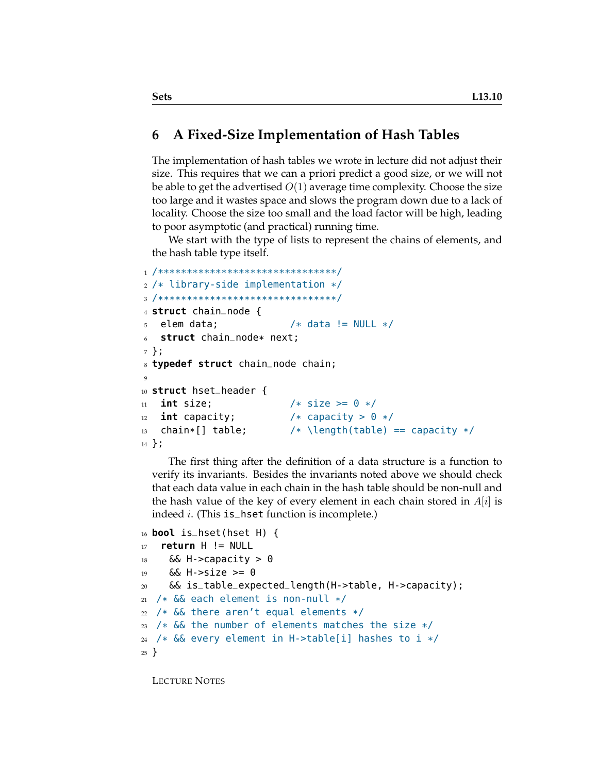#### **6 A Fixed-Size Implementation of Hash Tables**

The implementation of hash tables we wrote in lecture did not adjust their size. This requires that we can a priori predict a good size, or we will not be able to get the advertised  $O(1)$  average time complexity. Choose the size too large and it wastes space and slows the program down due to a lack of locality. Choose the size too small and the load factor will be high, leading to poor asymptotic (and practical) running time.

We start with the type of lists to represent the chains of elements, and the hash table type itself.

```
1 /*******************************/
2 /* library-side implementation */
3 /*******************************/
4 struct chain_node {
5 elem data; /* data != NULL */6 struct chain_node* next;
7 };
8 typedef struct chain_node chain;
9
10 struct hset_header {
11 int size; /* size >= 0 */
_{12} int capacity; \frac{1}{2} /* capacity > 0 */
13 chain*[] table; /* \left(\frac{1}{10}\right) == \text{capacity} */14 };
```
The first thing after the definition of a data structure is a function to verify its invariants. Besides the invariants noted above we should check that each data value in each chain in the hash table should be non-null and the hash value of the key of every element in each chain stored in  $A[i]$  is indeed *i*. (This is\_hset function is incomplete.)

```
16 bool is_hset(hset H) {
17 return H != NULL
18 \& & H->capacity > 0
19 \&\&\text{H}->size \geq=020 && is_table_expected_length(H->table, H->capacity);
21 / * && each element is non-null */22 / * && there aren't equal elements */23 /* && the number of elements matches the size */24 /* && every element in H->table[i] hashes to i */
25 }
```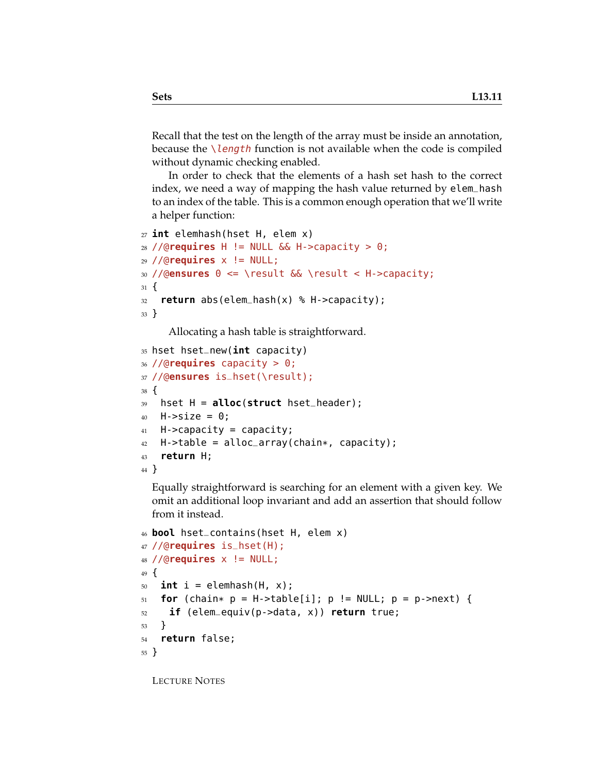Recall that the test on the length of the array must be inside an annotation, because the  $\lambda$  *length* function is not available when the code is compiled without dynamic checking enabled.

In order to check that the elements of a hash set hash to the correct index, we need a way of mapping the hash value returned by elem\_hash to an index of the table. This is a common enough operation that we'll write a helper function:

```
27 int elemhash(hset H, elem x)
28 //@requires H != NULL && H->capacity > 0;
29 //@requires x != NULL;
30 //@ensures 0 <= \result && \result < H->capacity;
31 \frac{1}{2}32 return abs(elem_hash(x) % H->capacity);
33 }
```
Allocating a hash table is straightforward.

```
35 hset hset_new(int capacity)
36 //@requires capacity > 0;
37 //@ensures is_hset(\result);
38 {
39 hset H = alloc(struct hset_header);
40 H->size = 0;
41 H->capacity = capacity;
42 H->table = alloc_array(chain*, capacity);
43 return H;
44 }
```
Equally straightforward is searching for an element with a given key. We omit an additional loop invariant and add an assertion that should follow from it instead.

```
46 bool hset_contains(hset H, elem x)
47 //@requires is_hset(H);
48 //@requires x != NULL;
49 \{_{50} int i = elemhash(H, x);
51 for (chain* p = H->table[i]; p != NULL; p = p->next) {
52 if (elem_equiv(p->data, x)) return true;
53 }
54 return false;
55 }
```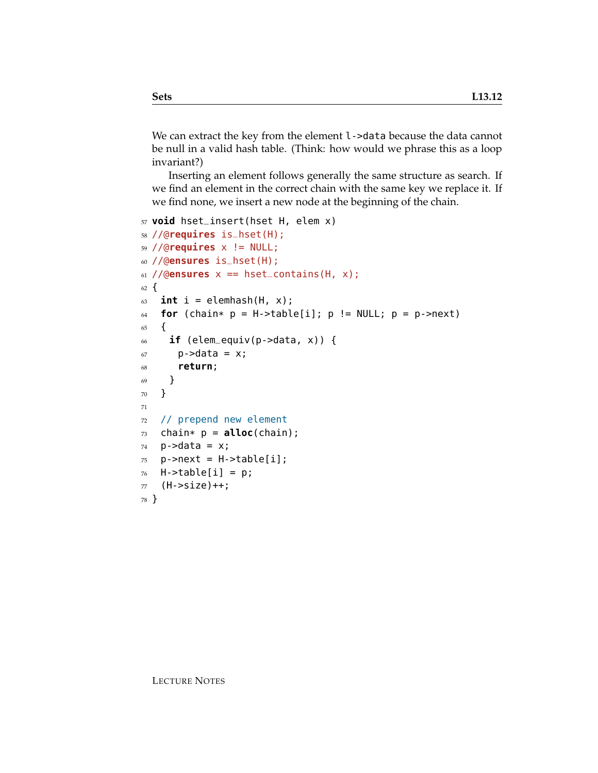We can extract the key from the element l->data because the data cannot be null in a valid hash table. (Think: how would we phrase this as a loop invariant?)

Inserting an element follows generally the same structure as search. If we find an element in the correct chain with the same key we replace it. If we find none, we insert a new node at the beginning of the chain.

```
57 void hset_insert(hset H, elem x)
58 //@requires is_hset(H);
59 //@requires x != NULL;
60 //@ensures is_hset(H);
61 //@ensures x == hset_contains(H, x);
62 \frac{1}{2}63 int i = element(H, x);
64 for (chain* p = H->table[i]; p == NULL; p == p->next)
65 {
66 if (elem_equiv(p->data, x)) {
67 p->data = x;
68 return;
69 }
70 }
71
72 // prepend new element
73 chain* p = alloc(chain);
74 p->data = x;
75 p->next = H->table[i];
76 H->table[i] = p;
77 (H->size)++;
78 }
```